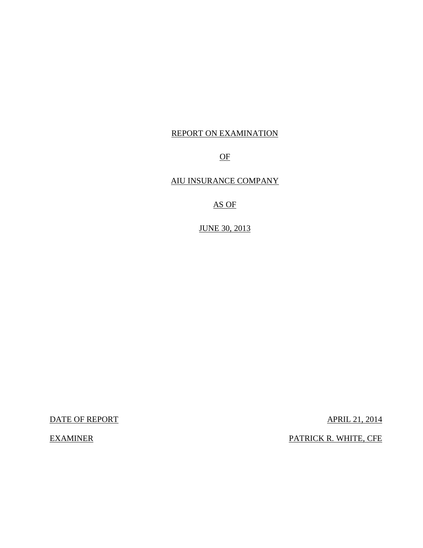## REPORT ON EXAMINATION

OF

AIU INSURANCE COMPANY

AS OF

**JUNE 30, 2013** 

DATE OF REPORT APRIL 21, 2014

EXAMINER PATRICK R. WHITE, CFE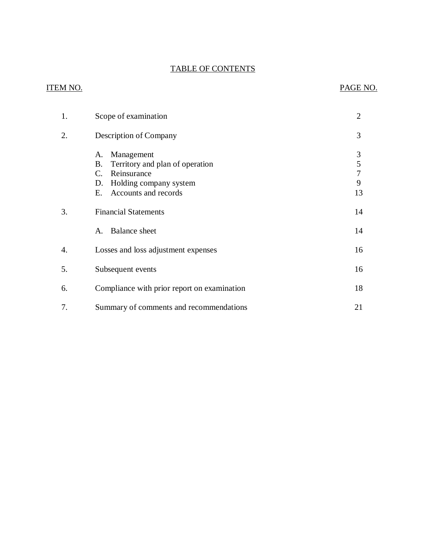## TABLE OF CONTENTS

## ITEM NO. PAGE NO.

| 1. | Scope of examination                                                                                                                                                   | $\overline{2}$         |
|----|------------------------------------------------------------------------------------------------------------------------------------------------------------------------|------------------------|
| 2. | Description of Company                                                                                                                                                 | 3                      |
|    | Management<br>A.<br>Territory and plan of operation<br><b>B.</b><br>Reinsurance<br>$\mathcal{C}_{\cdot}$<br>Holding company system<br>D.<br>Accounts and records<br>Е. | 3<br>5<br>7<br>9<br>13 |
| 3. | <b>Financial Statements</b>                                                                                                                                            | 14                     |
|    | <b>Balance</b> sheet<br>$A_{\cdot}$                                                                                                                                    | 14                     |
| 4. | Losses and loss adjustment expenses                                                                                                                                    | 16                     |
| 5. | Subsequent events                                                                                                                                                      | 16                     |
| 6. | Compliance with prior report on examination                                                                                                                            | 18                     |
| 7. | Summary of comments and recommendations                                                                                                                                | 21                     |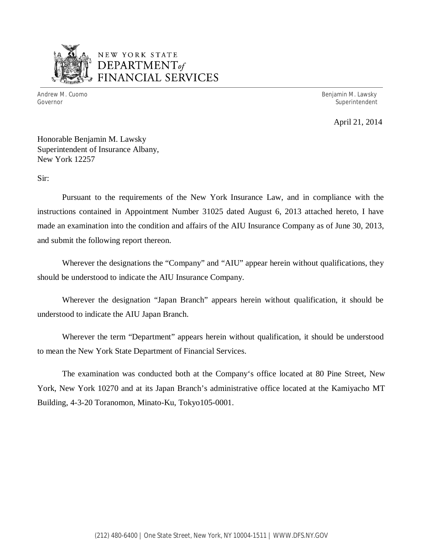

# NEW YORK STATE *DEPARTMENTof*  FINANCIAL SERVICES

Andrew M. Cuomo Governor

Benjamin M. Lawsky Superintendent

April 21, 2014

Honorable Benjamin M. Lawsky Superintendent of Insurance Albany, New York 12257

Sir:

Pursuant to the requirements of the New York Insurance Law, and in compliance with the instructions contained in Appointment Number 31025 dated August 6, 2013 attached hereto, I have made an examination into the condition and affairs of the AIU Insurance Company as of June 30, 2013, and submit the following report thereon.

Wherever the designations the "Company" and "AIU" appear herein without qualifications, they should be understood to indicate the AIU Insurance Company.

Wherever the designation "Japan Branch" appears herein without qualification, it should be understood to indicate the AIU Japan Branch.

Wherever the term "Department" appears herein without qualification, it should be understood to mean the New York State Department of Financial Services.

The examination was conducted both at the Company's office located at 80 Pine Street, New York, New York 10270 and at its Japan Branch's administrative office located at the Kamiyacho MT Building, 4-3-20 Toranomon, Minato-Ku, Tokyo105-0001.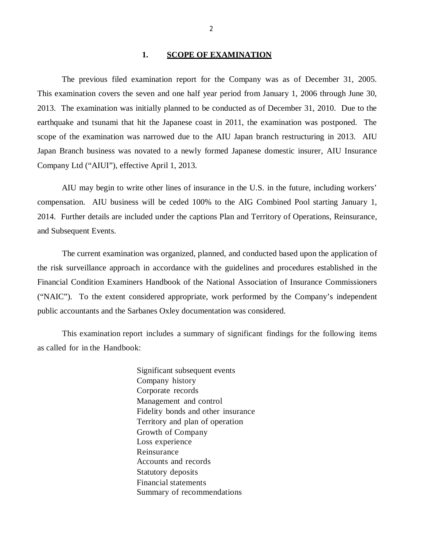#### **1. SCOPE OF EXAMINATION**

<span id="page-3-0"></span>The previous filed examination report for the Company was as of December 31, 2005. This examination covers the seven and one half year period from January 1, 2006 through June 30, 2013. The examination was initially planned to be conducted as of December 31, 2010. Due to the earthquake and tsunami that hit the Japanese coast in 2011, the examination was postponed. The scope of the examination was narrowed due to the AIU Japan branch restructuring in 2013. AIU Japan Branch business was novated to a newly formed Japanese domestic insurer, AIU Insurance Company Ltd ("AIUI"), effective April 1, 2013.

AIU may begin to write other lines of insurance in the U.S. in the future, including workers' compensation. AIU business will be ceded 100% to the AIG Combined Pool starting January 1, 2014. Further details are included under the captions Plan and Territory of Operations, Reinsurance, and Subsequent Events.

The current examination was organized, planned, and conducted based upon the application of the risk surveillance approach in accordance with the guidelines and procedures established in the Financial Condition Examiners Handbook of the National Association of Insurance Commissioners ("NAIC"). To the extent considered appropriate, work performed by the Company's independent public accountants and the Sarbanes Oxley documentation was considered.

This examination report includes a summary of significant findings for the following items as called for in the Handbook:

> Significant subsequent events Company history Corporate records Management and control Fidelity bonds and other insurance Territory and plan of operation Growth of Company Loss experience Reinsurance Accounts and records Statutory deposits Financial statements Summary of recommendations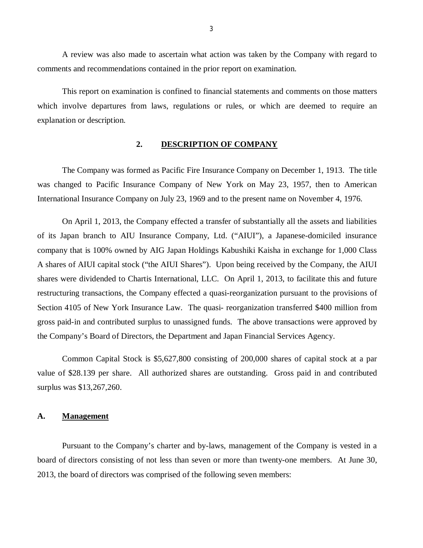<span id="page-4-0"></span>A review was also made to ascertain what action was taken by the Company with regard to comments and recommendations contained in the prior report on examination.

This report on examination is confined to financial statements and comments on those matters which involve departures from laws, regulations or rules, or which are deemed to require an explanation or description.

### **2. DESCRIPTION OF COMPANY**

The Company was formed as Pacific Fire Insurance Company on December 1, 1913. The title was changed to Pacific Insurance Company of New York on May 23, 1957, then to American International Insurance Company on July 23, 1969 and to the present name on November 4, 1976.

On April 1, 2013, the Company effected a transfer of substantially all the assets and liabilities of its Japan branch to AIU Insurance Company, Ltd. ("AIUI"), a Japanese-domiciled insurance company that is 100% owned by AIG Japan Holdings Kabushiki Kaisha in exchange for 1,000 Class A shares of AIUI capital stock ("the AIUI Shares"). Upon being received by the Company, the AIUI shares were dividended to Chartis International, LLC. On April 1, 2013, to facilitate this and future restructuring transactions, the Company effected a quasi-reorganization pursuant to the provisions of Section 4105 of New York Insurance Law. The quasi- reorganization transferred \$400 million from gross paid-in and contributed surplus to unassigned funds. The above transactions were approved by the Company's Board of Directors, the Department and Japan Financial Services Agency.

Common Capital Stock is \$5,627,800 consisting of 200,000 shares of capital stock at a par value of \$28.139 per share. All authorized shares are outstanding. Gross paid in and contributed surplus was \$13,267,260.

#### **A. Management**

Pursuant to the Company's charter and by-laws, management of the Company is vested in a board of directors consisting of not less than seven or more than twenty-one members. At June 30, 2013, the board of directors was comprised of the following seven members: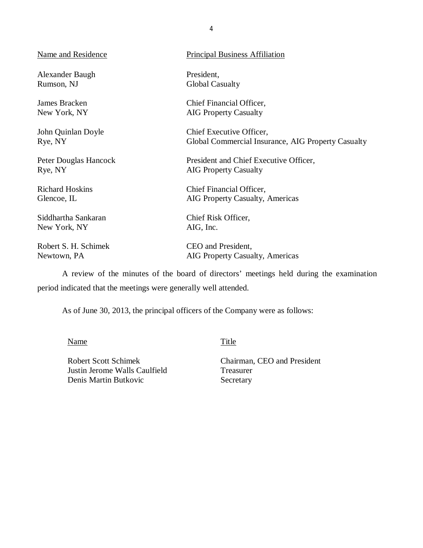Alexander Baugh President, Rumson, NJ Global Casualty

Rye, NY AIG Property Casualty

Siddhartha Sankaran Chief Risk Officer, New York, NY AIG, Inc.

Robert S. H. Schimek CEO and President,

Name and Residence Principal Business Affiliation

James Bracken Chief Financial Officer, New York, NY AIG Property Casualty

John Quinlan Doyle Chief Executive Officer, Rye, NY Global Commercial Insurance, AIG Property Casualty

Peter Douglas Hancock President and Chief Executive Officer,

Richard Hoskins Chief Financial Officer, Glencoe, IL AIG Property Casualty, Americas

Newtown, PA AIG Property Casualty, Americas

A review of the minutes of the board of directors' meetings held during the examination period indicated that the meetings were generally well attended.

As of June 30, 2013, the principal officers of the Company were as follows:

Name Title

Robert Scott Schimek Justin Jerome Walls Caulfield Denis Martin Butkovic

Chairman, CEO and President Treasurer Secretary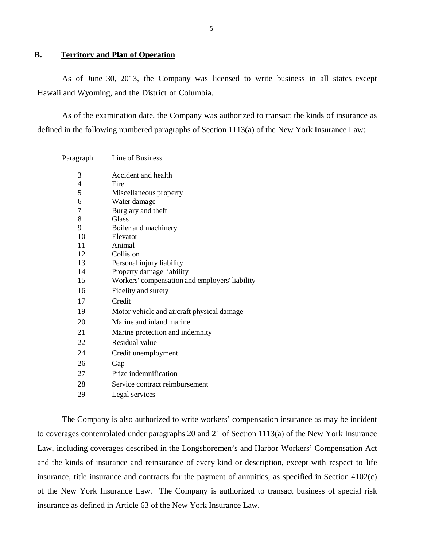## **B. Territory and Plan of Operation**

As of June 30, 2013, the Company was licensed to write business in all states except Hawaii and Wyoming, and the District of Columbia.

As of the examination date, the Company was authorized to transact the kinds of insurance as defined in the following numbered paragraphs of Section 1113(a) of the New York Insurance Law:

| <u>Paragraph</u> | Line of Business                               |
|------------------|------------------------------------------------|
| 3                | Accident and health                            |
| 4                | Fire                                           |
| 5                | Miscellaneous property                         |
| 6                | Water damage                                   |
| 7                | Burglary and theft                             |
| 8                | Glass                                          |
| 9                | Boiler and machinery                           |
| 10               | Elevator                                       |
| 11               | Animal                                         |
| 12               | Collision                                      |
| 13               | Personal injury liability                      |
| 14               | Property damage liability                      |
| 15               | Workers' compensation and employers' liability |
| 16               | Fidelity and surety                            |
| 17               | Credit                                         |
| 19               | Motor vehicle and aircraft physical damage     |
| 20               | Marine and inland marine                       |
| 21               | Marine protection and indemnity                |
| 22               | Residual value                                 |
| 24               | Credit unemployment                            |
| 26               | Gap                                            |
| 27               | Prize indemnification                          |
| 28               | Service contract reimbursement                 |
| 29               | Legal services                                 |

The Company is also authorized to write workers' compensation insurance as may be incident to coverages contemplated under paragraphs 20 and 21 of Section 1113(a) of the New York Insurance Law, including coverages described in the Longshoremen's and Harbor Workers' Compensation Act and the kinds of insurance and reinsurance of every kind or description, except with respect to life insurance, title insurance and contracts for the payment of annuities, as specified in Section 4102(c) of the New York Insurance Law. The Company is authorized to transact business of special risk insurance as defined in Article 63 of the New York Insurance Law.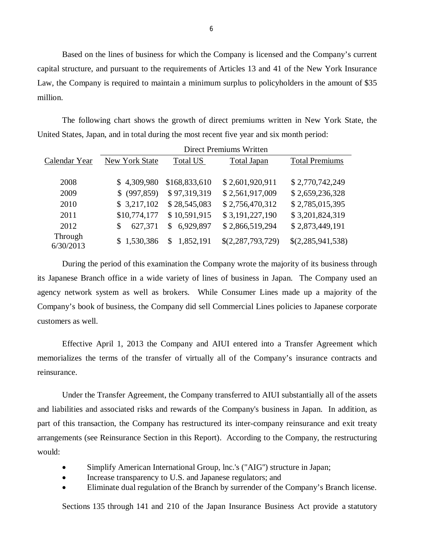Based on the lines of business for which the Company is licensed and the Company's current capital structure, and pursuant to the requirements of Articles 13 and 41 of the New York Insurance Law, the Company is required to maintain a minimum surplus to policyholders in the amount of \$35 million.

The following chart shows the growth of direct premiums written in New York State, the United States, Japan, and in total during the most recent five year and six month period:

|                      | Direct Premiums Written |                 |                   |                       |
|----------------------|-------------------------|-----------------|-------------------|-----------------------|
| Calendar Year        | New York State          | <b>Total US</b> | Total Japan       | <b>Total Premiums</b> |
|                      |                         |                 |                   |                       |
| 2008                 | \$4,309,980             | \$168,833,610   | \$2,601,920,911   | \$2,770,742,249       |
| 2009                 | $$$ (997,859)           | \$97,319,319    | \$2,561,917,009   | \$2,659,236,328       |
| 2010                 | \$3,217,102             | \$28,545,083    | \$2,756,470,312   | \$2,785,015,395       |
| 2011                 | \$10,774,177            | \$10,591,915    | \$3,191,227,190   | \$3,201,824,319       |
| 2012                 | 627,371<br>\$           | 6,929,897<br>S. | \$2,866,519,294   | \$2,873,449,191       |
| Through<br>6/30/2013 | \$1,530,386             | 1,852,191<br>\$ | \$(2,287,793,729) | \$(2,285,941,538)     |

During the period of this examination the Company wrote the majority of its business through its Japanese Branch office in a wide variety of lines of business in Japan. The Company used an agency network system as well as brokers. While Consumer Lines made up a majority of the Company's book of business, the Company did sell Commercial Lines policies to Japanese corporate customers as well.

Effective April 1, 2013 the Company and AIUI entered into a Transfer Agreement which memorializes the terms of the transfer of virtually all of the Company's insurance contracts and reinsurance.

Under the Transfer Agreement, the Company transferred to AIUI substantially all of the assets and liabilities and associated risks and rewards of the Company's business in Japan. In addition, as part of this transaction, the Company has restructured its inter-company reinsurance and exit treaty arrangements (see Reinsurance Section in this Report). According to the Company, the restructuring would:

- Simplify American International Group, lnc.'s ("AIG'') structure in Japan;
- Increase transparency to U.S. and Japanese regulators; and
- Eliminate dual regulation of the Branch by surrender of the Company's Branch license.

Sections 135 through 141 and 210 of the Japan Insurance Business Act provide a statutory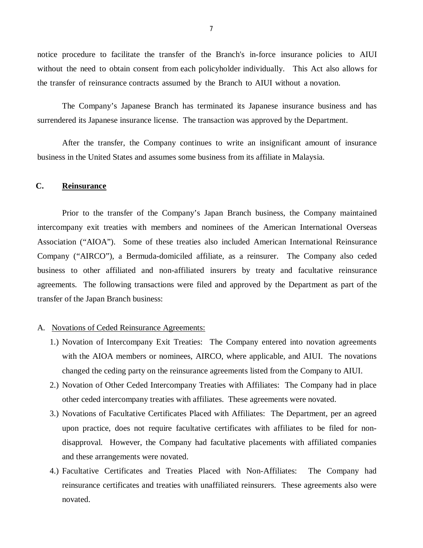<span id="page-8-0"></span>notice procedure to facilitate the transfer of the Branch's in-force insurance policies to AIUI without the need to obtain consent from each policyholder individually. This Act also allows for the transfer of reinsurance contracts assumed by the Branch to AIUI without a novation.

The Company's Japanese Branch has terminated its Japanese insurance business and has surrendered its Japanese insurance license. The transaction was approved by the Department.

After the transfer, the Company continues to write an insignificant amount of insurance business in the United States and assumes some business from its affiliate in Malaysia.

### **C. Reinsurance**

Prior to the transfer of the Company's Japan Branch business, the Company maintained intercompany exit treaties with members and nominees of the American International Overseas Association ("AIOA"). Some of these treaties also included American International Reinsurance Company ("AIRCO"), a Bermuda-domiciled affiliate, as a reinsurer. The Company also ceded business to other affiliated and non-affiliated insurers by treaty and facultative reinsurance agreements. The following transactions were filed and approved by the Department as part of the transfer of the Japan Branch business:

#### A. Novations of Ceded Reinsurance Agreements:

- 1.) Novation of Intercompany Exit Treaties: The Company entered into novation agreements with the AIOA members or nominees, AIRCO, where applicable, and AIUI. The novations changed the ceding party on the reinsurance agreements listed from the Company to AIUI.
- 2.) Novation of Other Ceded Intercompany Treaties with Affiliates: The Company had in place other ceded intercompany treaties with affiliates. These agreements were novated.
- 3.) Novations of Facultative Certificates Placed with Affiliates: The Department, per an agreed upon practice, does not require facultative certificates with affiliates to be filed for nondisapproval. However, the Company had facultative placements with affiliated companies and these arrangements were novated.
- 4.) Facultative Certificates and Treaties Placed with Non-Affiliates: The Company had reinsurance certificates and treaties with unaffiliated reinsurers. These agreements also were novated.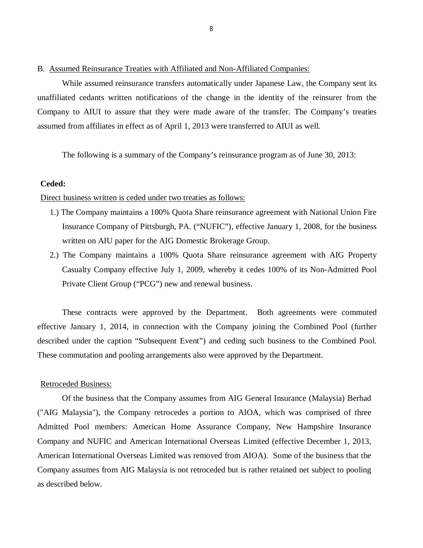### B. Assumed Reinsurance Treaties with Affiliated and Non-Affiliated Companies:

While assumed reinsurance transfers automatically under Japanese Law, the Company sent its unaffiliated cedants written notifications of the change in the identity of the reinsurer from the Company to AIUI to assure that they were made aware of the transfer. The Company's treaties assumed from affiliates in effect as of April 1, 2013 were transferred to AIUI as well.

The following is a summary of the Company's reinsurance program as of June 30, 2013:

### **Ceded:**

#### Direct business written is ceded under two treaties as follows:

- 1.) The Company maintains a 100% Quota Share reinsurance agreement with National Union Fire Insurance Company of Pittsburgh, PA. ("NUFIC"), effective January 1, 2008, for the business written on AIU paper for the AIG Domestic Brokerage Group.
- 2.) The Company maintains a 100% Quota Share reinsurance agreement with AIG Property Casualty Company effective July 1, 2009, whereby it cedes 100% of its Non-Admitted Pool Private Client Group ("PCG") new and renewal business.

These contracts were approved by the Department. Both agreements were commuted effective January 1, 2014, in connection with the Company joining the Combined Pool (further described under the caption "Subsequent Event") and ceding such business to the Combined Pool. These commutation and pooling arrangements also were approved by the Department.

#### Retroceded Business:

Of the business that the Company assumes from AIG General Insurance (Malaysia) Berhad ("AIG Malaysia"), the Company retrocedes a portion to AIOA, which was comprised of three Admitted Pool members: American Home Assurance Company, New Hampshire Insurance Company and NUFIC and American International Overseas Limited (effective December 1, 2013, American International Overseas Limited was removed from AIOA). Some of the business that the Company assumes from AIG Malaysia is not retroceded but is rather retained net subject to pooling as described below.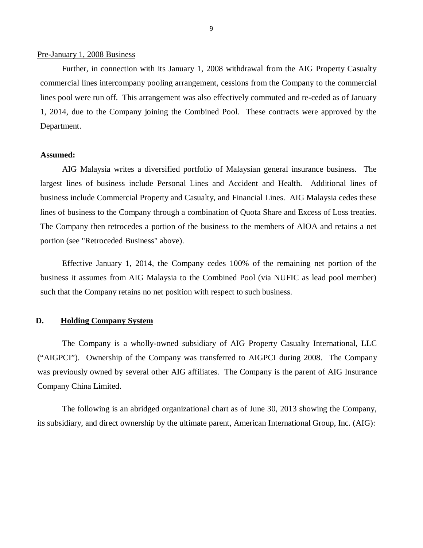#### <span id="page-10-0"></span>Pre-January 1, 2008 Business

Further, in connection with its January 1, 2008 withdrawal from the AIG Property Casualty commercial lines intercompany pooling arrangement, cessions from the Company to the commercial lines pool were run off. This arrangement was also effectively commuted and re-ceded as of January 1, 2014, due to the Company joining the Combined Pool. These contracts were approved by the Department.

#### **Assumed:**

AIG Malaysia writes a diversified portfolio of Malaysian general insurance business. The largest lines of business include Personal Lines and Accident and Health. Additional lines of business include Commercial Property and Casualty, and Financial Lines. AIG Malaysia cedes these lines of business to the Company through a combination of Quota Share and Excess of Loss treaties. The Company then retrocedes a portion of the business to the members of AIOA and retains a net portion (see "Retroceded Business" above).

Effective January 1, 2014, the Company cedes 100% of the remaining net portion of the business it assumes from AIG Malaysia to the Combined Pool (via NUFIC as lead pool member) such that the Company retains no net position with respect to such business.

## **D. Holding Company System**

The Company is a wholly-owned subsidiary of AIG Property Casualty International, LLC ("AIGPCI"). Ownership of the Company was transferred to AIGPCI during 2008. The Company was previously owned by several other AIG affiliates. The Company is the parent of AIG Insurance Company China Limited.

The following is an abridged organizational chart as of June 30, 2013 showing the Company, its subsidiary, and direct ownership by the ultimate parent, American International Group, Inc. (AIG):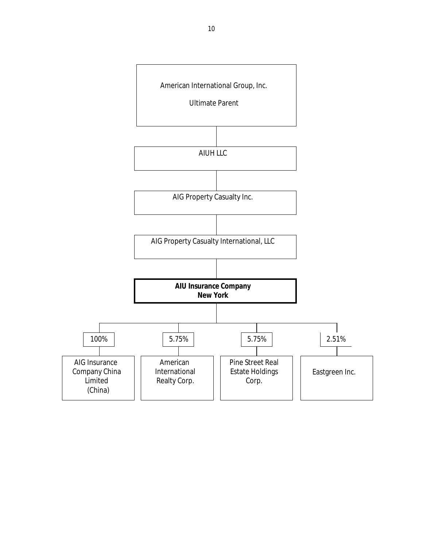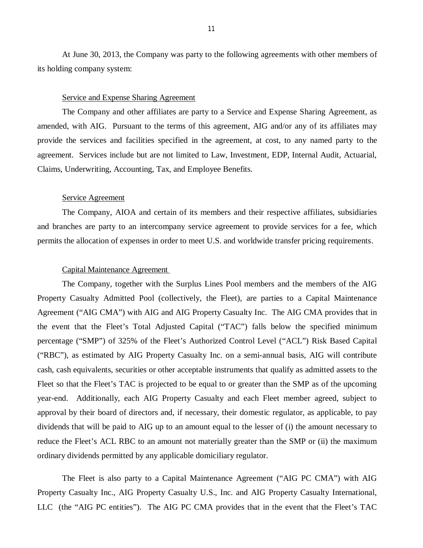At June 30, 2013, the Company was party to the following agreements with other members of its holding company system:

### Service and Expense Sharing Agreement

The Company and other affiliates are party to a Service and Expense Sharing Agreement, as amended, with AIG. Pursuant to the terms of this agreement, AIG and/or any of its affiliates may provide the services and facilities specified in the agreement, at cost, to any named party to the agreement. Services include but are not limited to Law, Investment, EDP, Internal Audit, Actuarial, Claims, Underwriting, Accounting, Tax, and Employee Benefits.

#### Service Agreement

The Company, AIOA and certain of its members and their respective affiliates, subsidiaries and branches are party to an intercompany service agreement to provide services for a fee, which permits the allocation of expenses in order to meet U.S. and worldwide transfer pricing requirements.

#### Capital Maintenance Agreement

The Company, together with the Surplus Lines Pool members and the members of the AIG Property Casualty Admitted Pool (collectively, the Fleet), are parties to a Capital Maintenance Agreement ("AIG CMA") with AIG and AIG Property Casualty Inc. The AIG CMA provides that in the event that the Fleet's Total Adjusted Capital ("TAC") falls below the specified minimum percentage ("SMP") of 325% of the Fleet's Authorized Control Level ("ACL") Risk Based Capital ("RBC"), as estimated by AIG Property Casualty Inc. on a semi-annual basis, AIG will contribute cash, cash equivalents, securities or other acceptable instruments that qualify as admitted assets to the Fleet so that the Fleet's TAC is projected to be equal to or greater than the SMP as of the upcoming year-end. Additionally, each AIG Property Casualty and each Fleet member agreed, subject to approval by their board of directors and, if necessary, their domestic regulator, as applicable, to pay dividends that will be paid to AIG up to an amount equal to the lesser of (i) the amount necessary to reduce the Fleet's ACL RBC to an amount not materially greater than the SMP or (ii) the maximum ordinary dividends permitted by any applicable domiciliary regulator.

The Fleet is also party to a Capital Maintenance Agreement ("AIG PC CMA") with AIG Property Casualty Inc., AIG Property Casualty U.S., Inc. and AIG Property Casualty International, LLC (the "AIG PC entities"). The AIG PC CMA provides that in the event that the Fleet's TAC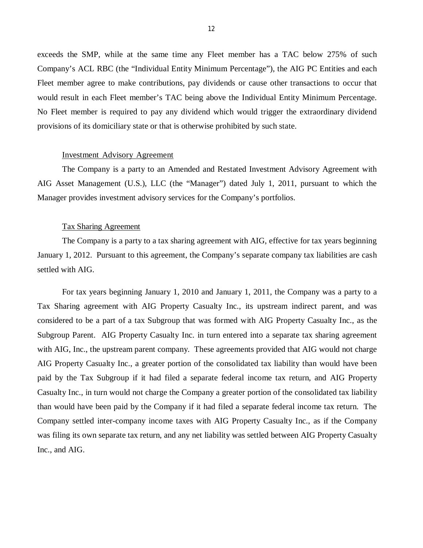exceeds the SMP, while at the same time any Fleet member has a TAC below 275% of such Company's ACL RBC (the "Individual Entity Minimum Percentage"), the AIG PC Entities and each Fleet member agree to make contributions, pay dividends or cause other transactions to occur that would result in each Fleet member's TAC being above the Individual Entity Minimum Percentage. No Fleet member is required to pay any dividend which would trigger the extraordinary dividend provisions of its domiciliary state or that is otherwise prohibited by such state.

#### Investment Advisory Agreement

The Company is a party to an Amended and Restated Investment Advisory Agreement with AIG Asset Management (U.S.), LLC (the "Manager") dated July 1, 2011, pursuant to which the Manager provides investment advisory services for the Company's portfolios.

#### Tax Sharing Agreement

The Company is a party to a tax sharing agreement with AIG, effective for tax years beginning January 1, 2012. Pursuant to this agreement, the Company's separate company tax liabilities are cash settled with AIG.

For tax years beginning January 1, 2010 and January 1, 2011, the Company was a party to a Tax Sharing agreement with AIG Property Casualty Inc., its upstream indirect parent, and was considered to be a part of a tax Subgroup that was formed with AIG Property Casualty Inc., as the Subgroup Parent. AIG Property Casualty Inc. in turn entered into a separate tax sharing agreement with AIG, Inc., the upstream parent company. These agreements provided that AIG would not charge AIG Property Casualty Inc., a greater portion of the consolidated tax liability than would have been paid by the Tax Subgroup if it had filed a separate federal income tax return, and AIG Property Casualty Inc., in turn would not charge the Company a greater portion of the consolidated tax liability than would have been paid by the Company if it had filed a separate federal income tax return. The Company settled inter-company income taxes with AIG Property Casualty Inc., as if the Company was filing its own separate tax return, and any net liability was settled between AIG Property Casualty Inc., and AIG.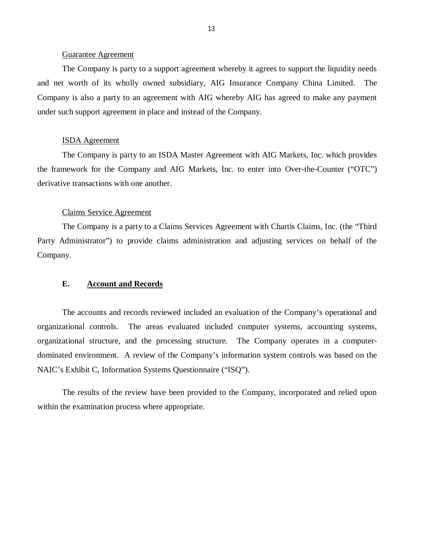#### Guarantee Agreement

<span id="page-14-0"></span>The Company is party to a support agreement whereby it agrees to support the liquidity needs and net worth of its wholly owned subsidiary, AIG Insurance Company China Limited. The Company is also a party to an agreement with AIG whereby AIG has agreed to make any payment under such support agreement in place and instead of the Company.

#### ISDA Agreement

The Company is party to an ISDA Master Agreement with AIG Markets, Inc. which provides the framework for the Company and AIG Markets, Inc. to enter into Over-the-Counter ("OTC") derivative transactions with one another.

#### Claims Service Agreement

The Company is a party to a Claims Services Agreement with Chartis Claims, Inc. (the "Third Party Administrator") to provide claims administration and adjusting services on behalf of the Company.

#### **E. Account and Records**

The accounts and records reviewed included an evaluation of the Company's operational and organizational controls. The areas evaluated included computer systems, accounting systems, organizational structure, and the processing structure. The Company operates in a computerdominated environment. A review of the Company's information system controls was based on the NAIC's Exhibit C, Information Systems Questionnaire ("ISQ").

The results of the review have been provided to the Company, incorporated and relied upon within the examination process where appropriate.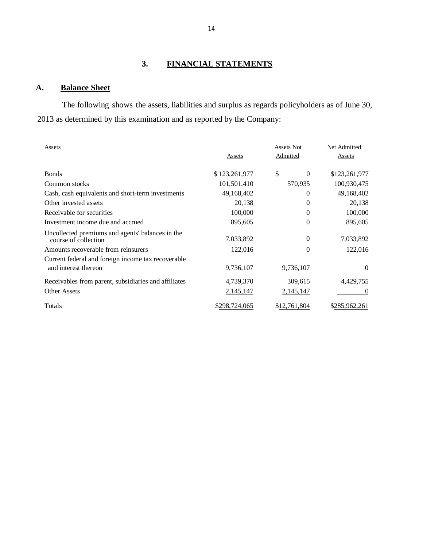## **3. FINANCIAL STATEMENTS**

## **A. Balance Sheet**

The following shows the assets, liabilities and surplus as regards policyholders as of June 30, 2013 as determined by this examination and as reported by the Company:

| Assets                                                                   |               | <b>Assets Not</b> | Net Admitted     |
|--------------------------------------------------------------------------|---------------|-------------------|------------------|
|                                                                          | Assets        | <b>Admitted</b>   | Assets           |
| <b>B</b> onds                                                            | \$123,261,977 | \$<br>$\theta$    | \$123,261,977    |
| Common stocks                                                            | 101,501,410   | 570,935           | 100,930,475      |
| Cash, cash equivalents and short-term investments                        | 49,168,402    | $\theta$          | 49,168,402       |
| Other invested assets                                                    | 20,138        | $\Omega$          | 20,138           |
| Receivable for securities                                                | 100,000       | $\Omega$          | 100,000          |
| Investment income due and accrued                                        | 895,605       | $\theta$          | 895,605          |
| Uncollected premiums and agents' balances in the<br>course of collection | 7,033,892     | $\Omega$          | 7,033,892        |
| Amounts recoverable from reinsurers                                      | 122,016       | $\overline{0}$    | 122,016          |
| Current federal and foreign income tax recoverable                       |               |                   |                  |
| and interest thereon                                                     | 9,736,107     | 9,736,107         | $\Omega$         |
| Receivables from parent, subsidiaries and affiliates                     | 4,739,370     | 309,615           | 4,429,755        |
| <b>Other Assets</b>                                                      | 2,145,147     | 2,145,147         | $\boldsymbol{0}$ |
| Totals                                                                   | \$298,724,065 | \$12,761,804      | \$285,962,261    |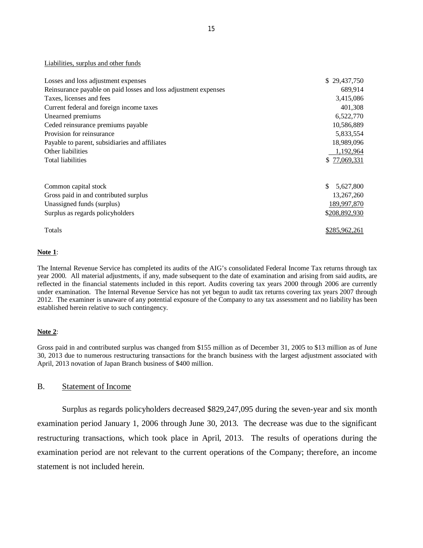#### Liabilities, surplus and other funds

| Losses and loss adjustment expenses                             | \$29,437,750    |
|-----------------------------------------------------------------|-----------------|
| Reinsurance payable on paid losses and loss adjustment expenses | 689,914         |
| Taxes, licenses and fees                                        | 3,415,086       |
| Current federal and foreign income taxes                        | 401,308         |
| Unearned premiums                                               | 6,522,770       |
| Ceded reinsurance premiums payable                              | 10,586,889      |
| Provision for reinsurance                                       | 5,833,554       |
| Payable to parent, subsidiaries and affiliates                  | 18,989,096      |
| Other liabilities                                               | 1,192,964       |
| <b>Total liabilities</b>                                        | \$77,069,331    |
|                                                                 |                 |
| Common capital stock                                            | \$<br>5,627,800 |
| Gross paid in and contributed surplus                           | 13,267,260      |
| Unassigned funds (surplus)                                      | 189,997,870     |
| Surplus as regards policyholders                                | \$208,892,930   |
| Totals                                                          | \$285,962,261   |

#### **Note 1**:

The Internal Revenue Service has completed its audits of the AIG's consolidated Federal Income Tax returns through tax year 2000. All material adjustments, if any, made subsequent to the date of examination and arising from said audits, are reflected in the financial statements included in this report. Audits covering tax years 2000 through 2006 are currently under examination. The Internal Revenue Service has not yet begun to audit tax returns covering tax years 2007 through 2012. The examiner is unaware of any potential exposure of the Company to any tax assessment and no liability has been established herein relative to such contingency.

#### **Note 2**:

Gross paid in and contributed surplus was changed from \$155 million as of December 31, 2005 to \$13 million as of June 30, 2013 due to numerous restructuring transactions for the branch business with the largest adjustment associated with April, 2013 novation of Japan Branch business of \$400 million.

#### B. Statement of Income

Surplus as regards policyholders decreased \$829,247,095 during the seven-year and six month examination period January 1, 2006 through June 30, 2013. The decrease was due to the significant restructuring transactions, which took place in April, 2013. The results of operations during the examination period are not relevant to the current operations of the Company; therefore, an income statement is not included herein.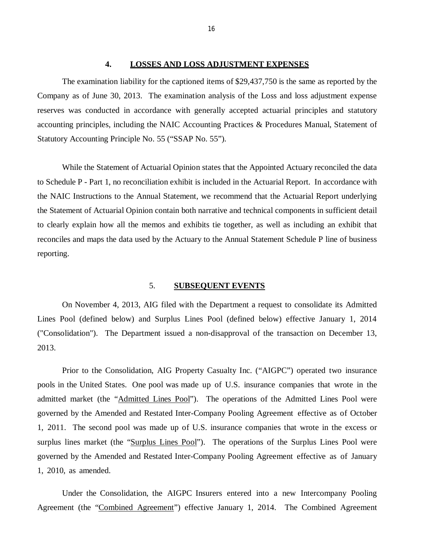#### **4. LOSSES AND LOSS ADJUSTMENT EXPENSES**

<span id="page-17-0"></span>The examination liability for the captioned items of \$29,437,750 is the same as reported by the Company as of June 30, 2013. The examination analysis of the Loss and loss adjustment expense reserves was conducted in accordance with generally accepted actuarial principles and statutory accounting principles, including the NAIC Accounting Practices & Procedures Manual, Statement of Statutory Accounting Principle No. 55 ("SSAP No. 55").

While the Statement of Actuarial Opinion states that the Appointed Actuary reconciled the data to Schedule P - Part 1, no reconciliation exhibit is included in the Actuarial Report. In accordance with the NAIC Instructions to the Annual Statement, we recommend that the Actuarial Report underlying the Statement of Actuarial Opinion contain both narrative and technical components in sufficient detail to clearly explain how all the memos and exhibits tie together, as well as including an exhibit that reconciles and maps the data used by the Actuary to the Annual Statement Schedule P line of business reporting.

#### 5. **SUBSEQUENT EVENTS**

On November 4, 2013, AIG filed with the Department a request to consolidate its Admitted Lines Pool (defined below) and Surplus Lines Pool (defined below) effective January 1, 2014 ("Consolidation"). The Department issued a non-disapproval of the transaction on December 13, 2013.

Prior to the Consolidation, AIG Property Casualty Inc. ("AIGPC") operated two insurance pools in the United States. One pool was made up of U.S. insurance companies that wrote in the admitted market (the "Admitted Lines Pool"). The operations of the Admitted Lines Pool were governed by the Amended and Restated Inter-Company Pooling Agreement effective as of October 1, 2011. The second pool was made up of U.S. insurance companies that wrote in the excess or surplus lines market (the "Surplus Lines Pool"). The operations of the Surplus Lines Pool were governed by the Amended and Restated Inter-Company Pooling Agreement effective as of January 1, 2010, as amended.

Under the Consolidation, the AIGPC Insurers entered into a new Intercompany Pooling Agreement (the "Combined Agreement") effective January 1, 2014. The Combined Agreement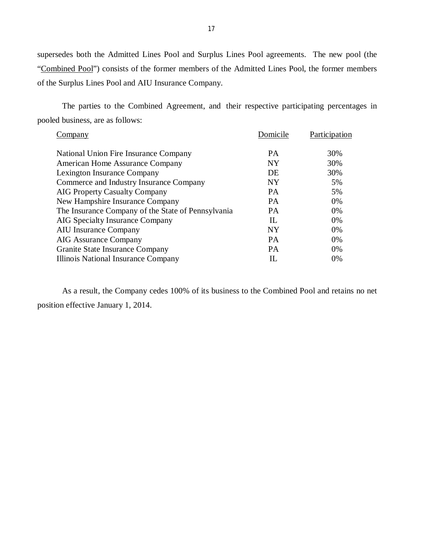supersedes both the Admitted Lines Pool and Surplus Lines Pool agreements. The new pool (the "Combined Pool") consists of the former members of the Admitted Lines Pool, the former members of the Surplus Lines Pool and AIU Insurance Company.

The parties to the Combined Agreement, and their respective participating percentages in pooled business, are as follows:

| Company                                            | Domicile  | Participation |
|----------------------------------------------------|-----------|---------------|
| National Union Fire Insurance Company              | <b>PA</b> | 30%           |
| American Home Assurance Company                    | <b>NY</b> | 30%           |
| Lexington Insurance Company                        | DE        | 30%           |
| Commerce and Industry Insurance Company            | NY        | 5%            |
| <b>AIG Property Casualty Company</b>               | <b>PA</b> | 5%            |
| New Hampshire Insurance Company                    | <b>PA</b> | 0%            |
| The Insurance Company of the State of Pennsylvania | <b>PA</b> | 0%            |
| AIG Specialty Insurance Company                    | П.        | $0\%$         |
| <b>AIU</b> Insurance Company                       | <b>NY</b> | $0\%$         |
| <b>AIG Assurance Company</b>                       | <b>PA</b> | $0\%$         |
| Granite State Insurance Company                    | <b>PA</b> | $0\%$         |
| Illinois National Insurance Company                | П.        | 0%            |

As a result, the Company cedes 100% of its business to the Combined Pool and retains no net position effective January 1, 2014.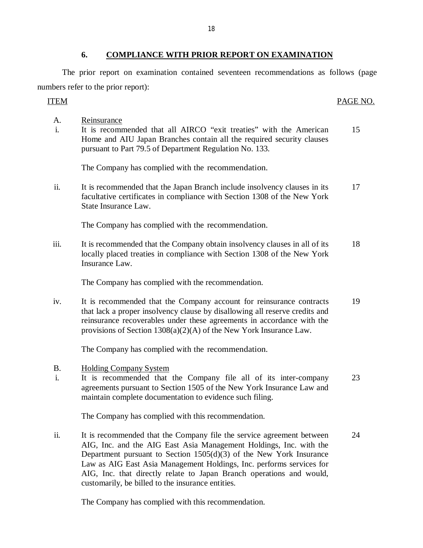## **6. COMPLIANCE WITH PRIOR REPORT ON EXAMINATION**

<span id="page-19-0"></span>The prior report on examination contained seventeen recommendations as follows (page numbers refer to the prior report):

## ITEM PAGE NO.

- A. Reinsurance
- i. It is recommended that all AIRCO "exit treaties" with the American 15 Home and AIU Japan Branches contain all the required security clauses pursuant to Part 79.5 of Department Regulation No. 133.

The Company has complied with the recommendation.

ii. It is recommended that the Japan Branch include insolvency clauses in its 17 facultative certificates in compliance with Section 1308 of the New York State Insurance Law.

The Company has complied with the recommendation.

iii. It is recommended that the Company obtain insolvency clauses in all of its 18 locally placed treaties in compliance with Section 1308 of the New York Insurance Law.

The Company has complied with the recommendation.

iv. It is recommended that the Company account for reinsurance contracts 19 that lack a proper insolvency clause by disallowing all reserve credits and reinsurance recoverables under these agreements in accordance with the provisions of Section 1308(a)(2)(A) of the New York Insurance Law.

The Company has complied with the recommendation.

- B. Holding Company System
- i. It is recommended that the Company file all of its inter-company 23 agreements pursuant to Section 1505 of the New York Insurance Law and maintain complete documentation to evidence such filing.

The Company has complied with this recommendation.

ii. It is recommended that the Company file the service agreement between 24 AIG, Inc. and the AIG East Asia Management Holdings, Inc. with the Department pursuant to Section  $1505(d)(3)$  of the New York Insurance Law as AIG East Asia Management Holdings, Inc. performs services for AIG, Inc. that directly relate to Japan Branch operations and would, customarily, be billed to the insurance entities.

The Company has complied with this recommendation.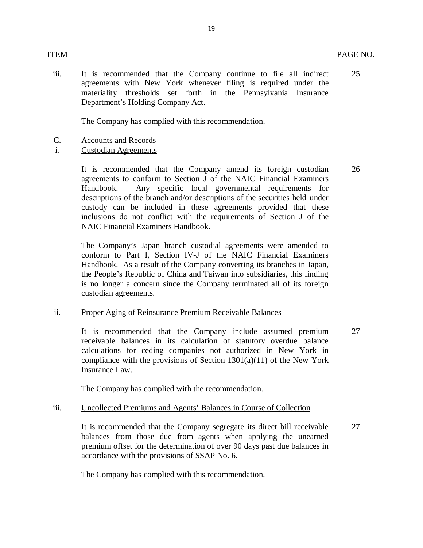iii. It is recommended that the Company continue to file all indirect agreements with New York whenever filing is required under the materiality thresholds set forth in the Pennsylvania Insurance Department's Holding Company Act. 25

The Company has complied with this recommendation.

- C. Accounts and Records
- i. Custodian Agreements

It is recommended that the Company amend its foreign custodian agreements to conform to Section J of the NAIC Financial Examiners Handbook. Any specific local governmental requirements for descriptions of the branch and/or descriptions of the securities held under custody can be included in these agreements provided that these inclusions do not conflict with the requirements of Section J of the NAIC Financial Examiners Handbook. 26

The Company's Japan branch custodial agreements were amended to conform to Part I, Section IV-J of the NAIC Financial Examiners Handbook. As a result of the Company converting its branches in Japan, the People's Republic of China and Taiwan into subsidiaries, this finding is no longer a concern since the Company terminated all of its foreign custodian agreements.

## ii. Proper Aging of Reinsurance Premium Receivable Balances

It is recommended that the Company include assumed premium receivable balances in its calculation of statutory overdue balance calculations for ceding companies not authorized in New York in compliance with the provisions of Section  $1301(a)(11)$  of the New York Insurance Law. 27

The Company has complied with the recommendation.

## iii. Uncollected Premiums and Agents' Balances in Course of Collection

It is recommended that the Company segregate its direct bill receivable balances from those due from agents when applying the unearned premium offset for the determination of over 90 days past due balances in accordance with the provisions of SSAP No. 6. 27

The Company has complied with this recommendation.

19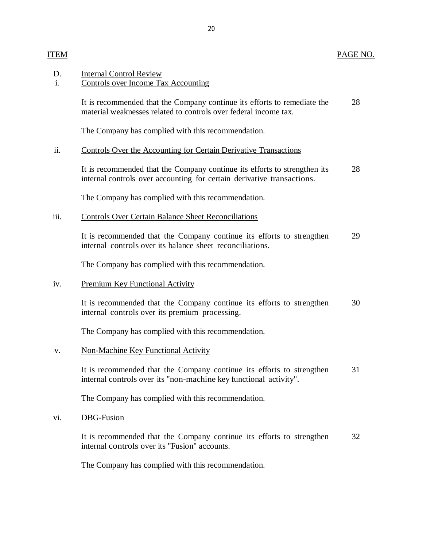D. Internal Control Review i. Controls over Income Tax Accounting

> It is recommended that the Company continue its efforts to remediate the 28 material weaknesses related to controls over federal income tax.

The Company has complied with this recommendation.

## ii. Controls Over the Accounting for Certain Derivative Transactions

It is recommended that the Company continue its efforts to strengthen its 28 internal controls over accounting for certain derivative transactions.

The Company has complied with this recommendation.

iii. Controls Over Certain Balance Sheet Reconciliations

It is recommended that the Company continue its efforts to strengthen 29 internal controls over its balance sheet reconciliations.

The Company has complied with this recommendation.

iv. Premium Key Functional Activity

It is recommended that the Company continue its efforts to strengthen 30 internal controls over its premium processing.

The Company has complied with this recommendation.

## v. Non-Machine Key Functional Activity

It is recommended that the Company continue its efforts to strengthen 31 internal controls over its "non-machine key functional activity".

The Company has complied with this recommendation.

vi. DBG-Fusion

It is recommended that the Company continue its efforts to strengthen 32 internal controls over its "Fusion" accounts.

The Company has complied with this recommendation.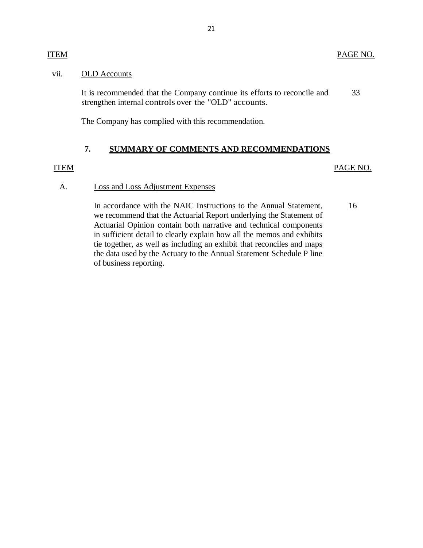### <span id="page-22-0"></span>ITEM PAGE NO.

## vii. OLD Accounts

It is recommended that the Company continue its efforts to reconcile and 33 strengthen internal controls over the "OLD" accounts.

The Company has complied with this recommendation.

## **7. SUMMARY OF COMMENTS AND RECOMMENDATIONS**

## ITEM PAGE NO.

## A. Loss and Loss Adjustment Expenses

In accordance with the NAIC Instructions to the Annual Statement, 16 we recommend that the Actuarial Report underlying the Statement of Actuarial Opinion contain both narrative and technical components in sufficient detail to clearly explain how all the memos and exhibits tie together, as well as including an exhibit that reconciles and maps the data used by the Actuary to the Annual Statement Schedule P line of business reporting.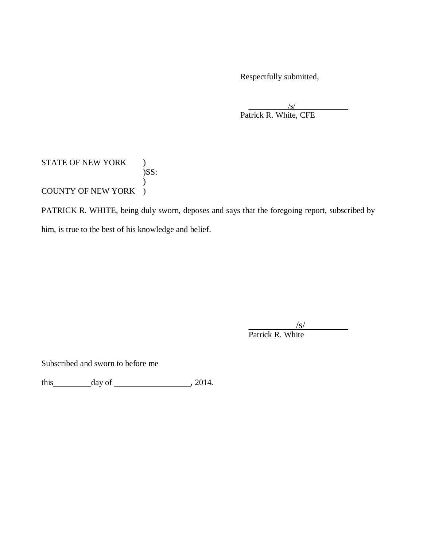Respectfully submitted,

/s/ Patrick R. White, CFE

STATE OF NEW YORK )  $)$ SS:  $\mathcal{L}$ COUNTY OF NEW YORK )

PATRICK R. WHITE, being duly sworn, deposes and says that the foregoing report, subscribed by him, is true to the best of his knowledge and belief.

> $\sqrt{s/2}$ Patrick R. White

Subscribed and sworn to before me

this day of , 2014.